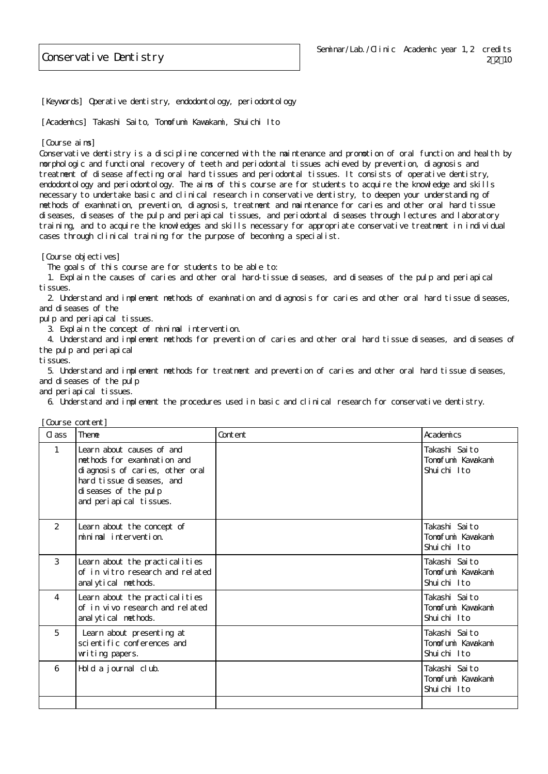[Keywords] Operative dentistry, endodontology, periodontology

[Academics] Takashi Saito, Tomofumi Kawakami, Shuichi Ito

## [Course aims]

Conservative dentistry is a discipline concerned with the maintenance and promotion of oral function and health by morphologic and functional recovery of teeth and periodontal tissues achieved by prevention, diagnosis and treatment of disease affecting oral hard tissues and periodontal tissues. It consists of operative dentistry, endodontology and periodontology. The aims of this course are for students to acquire the knowledge and skills necessary to undertake basic and clinical research in conservative dentistry, to deepen your understanding of methods of examination, prevention, diagnosis, treatment and maintenance for caries and other oral hard tissue diseases, diseases of the pulp and periapical tissues, and periodontal diseases through lectures and laboratory training, and to acquire the knowledges and skills necessary for appropriate conservative treatment in individual cases through clinical training for the purpose of becoming a specialist.

[Course objectives]

The goals of this course are for students to be able to:

 1. Explain the causes of caries and other oral hard-tissue diseases, and diseases of the pulp and periapical tissues.

 2. Understand and implement methods of examination and diagnosis for caries and other oral hard tissue diseases, and diseases of the

pulp and periapical tissues.

3. Explain the concept of minimal intervention.

 4. Understand and implement methods for prevention of caries and other oral hard tissue diseases, and diseases of the pulp and periapical

tissues.

 5. Understand and implement methods for treatment and prevention of caries and other oral hard tissue diseases, and diseases of the pulp

and periapical tissues.

6. Understand and implement the procedures used in basic and clinical research for conservative dentistry.

| [Course content] |
|------------------|
|                  |

| C ass         | Theme                                                                                                                                                                         | Content | Academics                                         |
|---------------|-------------------------------------------------------------------------------------------------------------------------------------------------------------------------------|---------|---------------------------------------------------|
| $\mathbf{1}$  | Learn about causes of and<br>methods for examination and<br>di agnosis of caries, other oral<br>hard tissue diseases, and<br>di seases of the pulp<br>and periapical tissues. |         | Takashi Saito<br>Tomofumi Kawakami<br>Shuichi Ito |
| $\mathcal{P}$ | Learn about the concept of<br>minimal intervention.                                                                                                                           |         | Takashi Saito<br>Tomofumi Kawakami<br>Shuichi Ito |
| $\mathcal{S}$ | Learn about the practicalities<br>of in vitro research and related<br>anal ytical methods.                                                                                    |         | Takashi Saito<br>Tomofumi Kawakami<br>Shuichi Ito |
| 4             | Learn about the practicalities<br>of in vivo research and related<br>anal ytical methods.                                                                                     |         | Takashi Saito<br>Tomofumi Kawakami<br>Shuichi Ito |
| 5             | Learn about presenting at<br>scientific conferences and<br>witing papers.                                                                                                     |         | Takashi Saito<br>Tonofuni Kavakani<br>Shuichi Ito |
| 6             | Hold a journal club.                                                                                                                                                          |         | Takashi Saito<br>Tomofumi Kawakami<br>Shuichi Ito |
|               |                                                                                                                                                                               |         |                                                   |